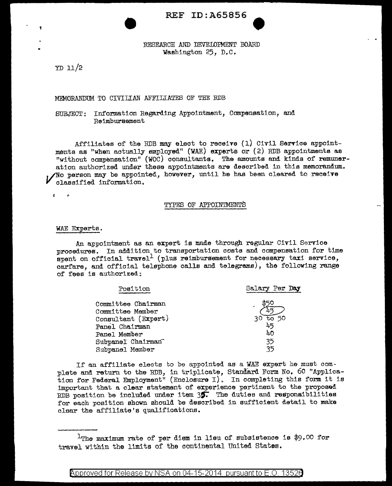# REF ID: A65856

RESEARCH AND DEVELOPMENT BOARD Washington 25, D.C.

YD 11/2

# MEMORANDUM TO CIVILIAN AFFILIATES OF THE RDB

## SUBJECT: Information Regarding Appointment, Compensation. and Reimbursement

Affiliates of the RDB may elect to receive  $(1)$  Civil Service appointmenta aa "when actually employed" (WAE) experts or ( 2) RDB appointments as  $"without companion" (WO) constants. The amounts and kinds of **remuner**$ ation authorized under these appointments are described in thia memorandum.  $\gamma$ No person may be appointed, however, until he has been cleared to receive classified information.

 $\mathbf{z}$ Ŧ.

## TYPES OF APPOINTMENTS

#### WAE Experts.

An appointment as an expert is made through regular Civil Service procedures. In addition to transportation costa and compensation for time spent on official travel<sup>1</sup> (plus reimbursement for necessary taxi service, carfare, and official telephone calls and telegrams), the following range of fees ie authorized:

| Position            | Salary Per Day          |
|---------------------|-------------------------|
| Committee Chairman  |                         |
| Committee Member    |                         |
| Consultant (Expert) | $\overline{t}$ 50<br>30 |
| Panel Chairman      | 45                      |
| Panel Member        | 40                      |
| Subpanel Chairman   | 35                      |
| Subpanel Member     | 35                      |

If an affiliate elects to be appointed as a WAE expert he must complete and return to the RDB, in triplicate, Standard Form No. 60 "Application for Federal Employment" (Enclosure I). In completing this form it is important that a clear statement of experience pertinent to the proposed RDB position be included under item 3§7 The duties and responsibilities for each position shown should be described in sufficient detail to make clear the affiliate's qualifications.

Approved for Release by NSA on 04-15-2014 pursuant to E.O. 1352 $\theta$ 

 $1$ The maximum rate of per diem in lieu of subsistence is \$9.00 for travel within the limits of the continental United States.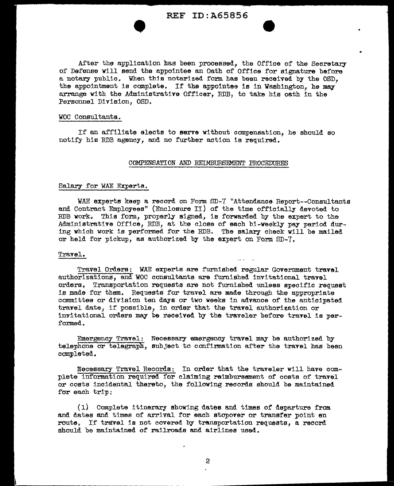# REF ID:A65856

•

After the application has been processed, the Office of the Secretary of Defense will send the appointee an Oath of Office for signature before a notary public. When this notarized form has been received by the OSD. the appointment is complete. If the appointee is in Washington, he may arrange with the Administrative Officer. RDB, to take his oath in the Personnel Division, OSD.

#### WOC Consultants.

If an affiliate elects to serve without compensation, he should so notify his RDB agency, and no further action ia required.

#### COMPENSATION AND REIMBURSEMENT PROCEDURES

### Salary for WAE Experts.

*WAE* experts keep a record on Form SD-7 "Attendance Report--Consultants and Contract Employees" (Enclosure II) of the time officially" devoted to RDB work. This form, properly signed, is forwarded by the expert to the Administrative Office, RDB, at the close of each bi-weekly pay period during which work is performed for the RDB. The salary check will be mailed or held for pickup, as authorized by the expert on Form SD-7.

#### Travel,

Travel Orders: WAE experts are furnished regular Government travel authorizations, and WOC consultants are furnished invitational travel orders. Transportation requests are not furnished unless specific request is made for them. Requests for travel are made through the appropriate committee or division ten days or two weeks in advance of the anticipated travel date, if possible, in order that the travel authorization or invitational orders may be received by the traveler before travel is performed.

Emergency Travel: Necessary emergency travel may be authorized by telephone or telegraph, subject to confirmation after the travel has been completed.

Necessary Travel Records: In order that the traveler will have complete information required for claiming reimbursement of coats of travel or costs incidental thereto, the following records should be maintained for each trip;

 $(1)$  Complete itinerary showing dates and times of departure from. and dates and times of arrival for each stopover or transfer point en route. If travel is not covered by transportation requests, a record should be maintained of railroads and airlines used.